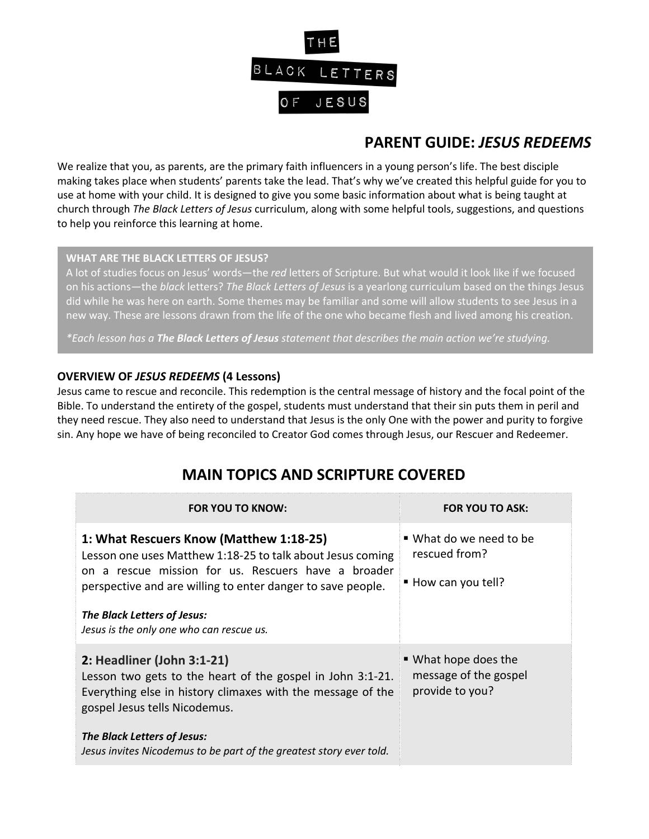

# **PARENT GUIDE:** *JESUS REDEEMS*

We realize that you, as parents, are the primary faith influencers in a young person's life. The best disciple making takes place when students' parents take the lead. That's why we've created this helpful guide for you to use at home with your child. It is designed to give you some basic information about what is being taught at church through *The Black Letters of Jesus* curriculum, along with some helpful tools, suggestions, and questions to help you reinforce this learning at home.

### **WHAT ARE THE BLACK LETTERS OF JESUS?**

A lot of studies focus on Jesus' words—the *red* letters of Scripture. But what would it look like if we focused on his actions—the *black* letters? *The Black Letters of Jesus* is a yearlong curriculum based on the things Jesus did while he was here on earth. Some themes may be familiar and some will allow students to see Jesus in a new way. These are lessons drawn from the life of the one who became flesh and lived among his creation.

*\*Each lesson has a The Black Letters of Jesus statement that describes the main action we're studying.*

### **OVERVIEW OF** *JESUS REDEEMS* **(4 Lessons)**

Jesus came to rescue and reconcile. This redemption is the central message of history and the focal point of the Bible. To understand the entirety of the gospel, students must understand that their sin puts them in peril and they need rescue. They also need to understand that Jesus is the only One with the power and purity to forgive sin. Any hope we have of being reconciled to Creator God comes through Jesus, our Rescuer and Redeemer.

## **MAIN TOPICS AND SCRIPTURE COVERED**

| <b>FOR YOU TO KNOW:</b>                                                                                                                                                                                                     | <b>FOR YOU TO ASK:</b>                                           |
|-----------------------------------------------------------------------------------------------------------------------------------------------------------------------------------------------------------------------------|------------------------------------------------------------------|
| 1: What Rescuers Know (Matthew 1:18-25)<br>Lesson one uses Matthew 1:18-25 to talk about Jesus coming<br>on a rescue mission for us. Rescuers have a broader<br>perspective and are willing to enter danger to save people. | ■ What do we need to be<br>rescued from?<br>■ How can you tell?  |
| The Black Letters of Jesus:<br>Jesus is the only one who can rescue us.                                                                                                                                                     |                                                                  |
| 2: Headliner (John 3:1-21)<br>Lesson two gets to the heart of the gospel in John 3:1-21.<br>Everything else in history climaxes with the message of the<br>gospel Jesus tells Nicodemus.                                    | ■ What hope does the<br>message of the gospel<br>provide to you? |
| The Black Letters of Jesus:<br>Jesus invites Nicodemus to be part of the greatest story ever told.                                                                                                                          |                                                                  |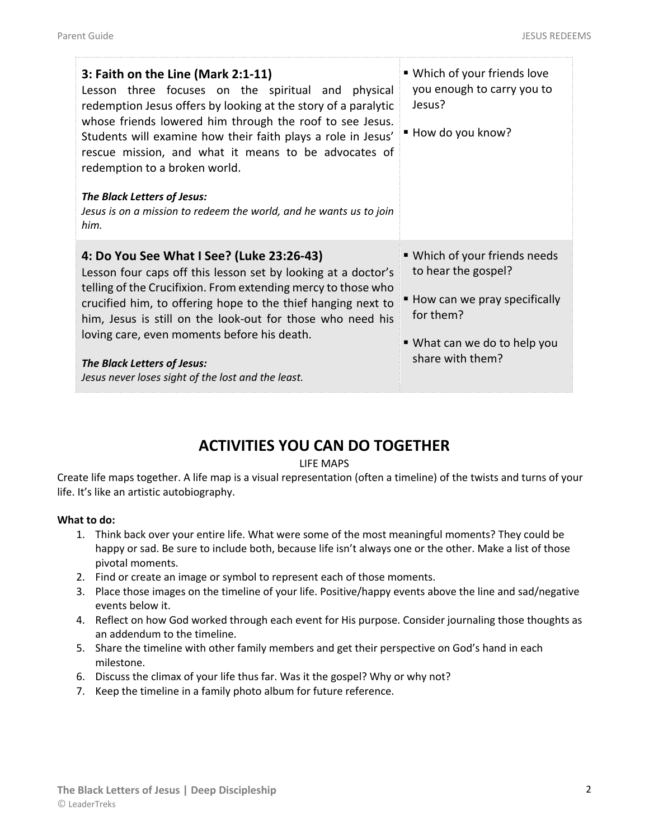| 3: Faith on the Line (Mark 2:1-11)<br>Lesson three focuses on the spiritual and physical<br>redemption Jesus offers by looking at the story of a paralytic<br>whose friends lowered him through the roof to see Jesus.<br>Students will examine how their faith plays a role in Jesus'<br>rescue mission, and what it means to be advocates of<br>redemption to a broken world.<br>The Black Letters of Jesus:<br>Jesus is on a mission to redeem the world, and he wants us to join<br>him. | ■ Which of your friends love<br>you enough to carry you to<br>Jesus?<br>■ How do you know?                                                                           |
|----------------------------------------------------------------------------------------------------------------------------------------------------------------------------------------------------------------------------------------------------------------------------------------------------------------------------------------------------------------------------------------------------------------------------------------------------------------------------------------------|----------------------------------------------------------------------------------------------------------------------------------------------------------------------|
| 4: Do You See What I See? (Luke 23:26-43)<br>Lesson four caps off this lesson set by looking at a doctor's<br>telling of the Crucifixion. From extending mercy to those who<br>crucified him, to offering hope to the thief hanging next to<br>him, Jesus is still on the look-out for those who need his<br>loving care, even moments before his death.<br>The Black Letters of Jesus:<br>Jesus never loses sight of the lost and the least.                                                | ■ Which of your friends needs<br>to hear the gospel?<br>$\blacksquare$ How can we pray specifically<br>for them?<br>■ What can we do to help you<br>share with them? |

## **ACTIVITIES YOU CAN DO TOGETHER**

#### LIFE MAPS

Create life maps together. A life map is a visual representation (often a timeline) of the twists and turns of your life. It's like an artistic autobiography.

#### **What to do:**

- 1. Think back over your entire life. What were some of the most meaningful moments? They could be happy or sad. Be sure to include both, because life isn't always one or the other. Make a list of those pivotal moments.
- 2. Find or create an image or symbol to represent each of those moments.
- 3. Place those images on the timeline of your life. Positive/happy events above the line and sad/negative events below it.
- 4. Reflect on how God worked through each event for His purpose. Consider journaling those thoughts as an addendum to the timeline.
- 5. Share the timeline with other family members and get their perspective on God's hand in each milestone.
- 6. Discuss the climax of your life thus far. Was it the gospel? Why or why not?
- 7. Keep the timeline in a family photo album for future reference.